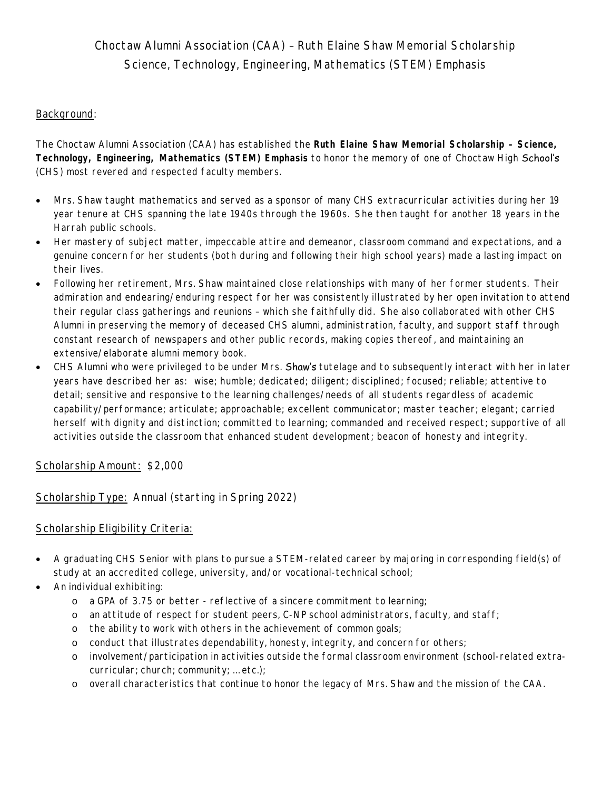# Choctaw Alumni Association (CAA) – Ruth Elaine Shaw Memorial Scholarship *Science, Technology, Engineering, Mathematics (STEM) Emphasis*

## Background:

The Choctaw Alumni Association (CAA) has established the *Ruth Elaine Shaw Memorial Scholarship – Science, Technology, Engineering, Mathematics (STEM) Emphasis* to honor the memory of one of Choctaw High School's (CHS) most revered and respected faculty members.

- Mrs. Shaw taught mathematics and served as a sponsor of many CHS extracurricular activities during her 19 year tenure at CHS spanning the late 1940s through the 1960s. She then taught for another 18 years in the Harrah public schools.
- Her mastery of subject matter, impeccable attire and demeanor, classroom command and expectations, and a genuine concern for her students (both during and following their high school years) made a lasting impact on their lives.
- Following her retirement, Mrs. Shaw maintained close relationships with many of her former students. Their admiration and endearing/enduring respect for her was consistently illustrated by her open invitation to attend their regular class gatherings and reunions – which she faithfully did. She also collaborated with other CHS Alumni in preserving the memory of deceased CHS alumni, administration, faculty, and support staff through constant research of newspapers and other public records, making copies thereof, and maintaining an extensive/elaborate alumni memory book.
- CHS Alumni who were privileged to be under Mrs. Shaw's tutelage and to subsequently interact with her in later years have described her as: wise; humble; dedicated; diligent; disciplined; focused; reliable; attentive to detail; sensitive and responsive to the learning challenges/needs of all students regardless of academic capability/performance; articulate; approachable; excellent communicator; master teacher; elegant; carried herself with dignity and distinction; committed to learning; commanded and received respect; supportive of all activities outside the classroom that enhanced student development; beacon of honesty and integrity.

### Scholarship Amount: \$2,000

Scholarship Type: Annual (starting in Spring 2022)

### Scholarship Eligibility Criteria:

- A graduating CHS Senior with plans to pursue a STEM-related career by majoring in corresponding field(s) of study at an accredited college, university, and/or vocational-technical school;
- An individual exhibiting:
	- o a GPA of 3.75 or better reflective of a sincere commitment to learning;
	- o an attitude of respect for student peers, C-NP school administrators, faculty, and staff;
	- o the ability to work with others in the achievement of common goals;
	- o conduct that illustrates dependability, honesty, integrity, and concern for others;
	- o involvement/participation in activities outside the formal classroom environment (school-related extracurricular; church; community; … etc.);
	- o overall characteristics that continue to honor the legacy of Mrs. Shaw and the mission of the CAA.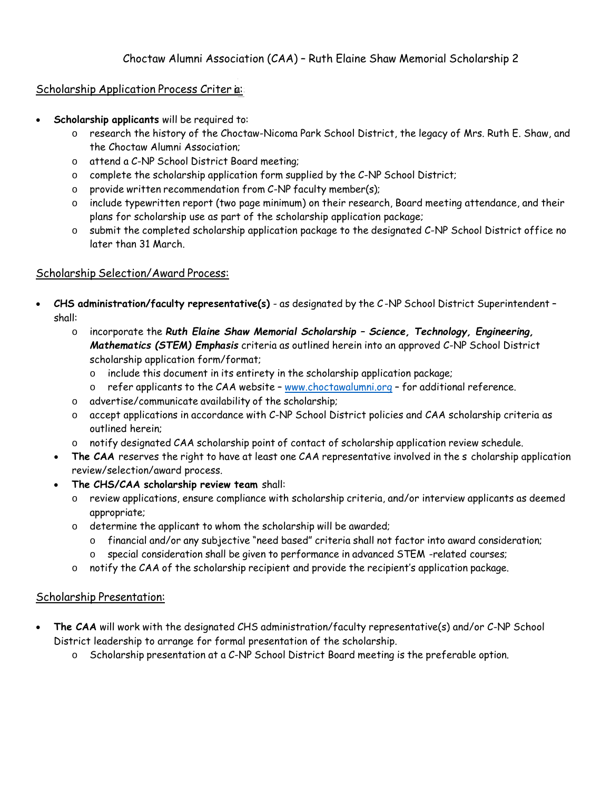## Scholarship Application Process Criter ia:

- **Scholarship applicants** will be required to:
	- o research the history of the Choctaw-Nicoma Park School District, the legacy of Mrs. Ruth E. Shaw, and the Choctaw Alumni Association;
	- o attend a C-NP School District Board meeting;
	- o complete the scholarship application form supplied by the C-NP School District;
	- o provide written recommendation from C-NP faculty member(s);
	- o include typewritten report (two page minimum) on their research, Board meeting attendance, and their plans for scholarship use as part of the scholarship application package;
	- o submit the completed scholarship application package to the designated C-NP School District office no later than 31 March.

### Scholarship Selection/Award Process:

- **CHS administration/faculty representative(s)** as designated by the C -NP School District Superintendent shall:
	- o incorporate the *Ruth Elaine Shaw Memorial Scholarship Science, Technology, Engineering, Mathematics (STEM) Emphasis* criteria as outlined herein into an approved C-NP School District scholarship application form/format;
		- o include this document in its entirety in the scholarship application package;
		- $\circ$  refer applicants to the CAA website www.choctawalumni.org for additional reference.
	- o advertise/communicate availability of the scholarship;
	- o accept applications in accordance with C-NP School District policies and CAA scholarship criteria as outlined herein;
	- o notify designated CAA scholarship point of contact of scholarship application review schedule.
	- **The CAA** reserves the right to have at least one CAA representative involved in the s cholarship application review/selection/award process.
	- **The CHS/CAA scholarship review team** shall:
		- o review applications, ensure compliance with scholarship criteria, and/or interview applicants as deemed appropriate;
		- o determine the applicant to whom the scholarship will be awarded;
			- o financial and/or any subjective "need based" criteria shall not factor into award consideration;
			- o special consideration shall be given to performance in advanced STEM -related courses;
		- o notify the CAA of the scholarship recipient and provide the recipient's application package.

## Scholarship Presentation:

- **The CAA** will work with the designated CHS administration/faculty representative(s) and/or C-NP School District leadership to arrange for formal presentation of the scholarship.
	- o Scholarship presentation at a C-NP School District Board meeting is the preferable option.